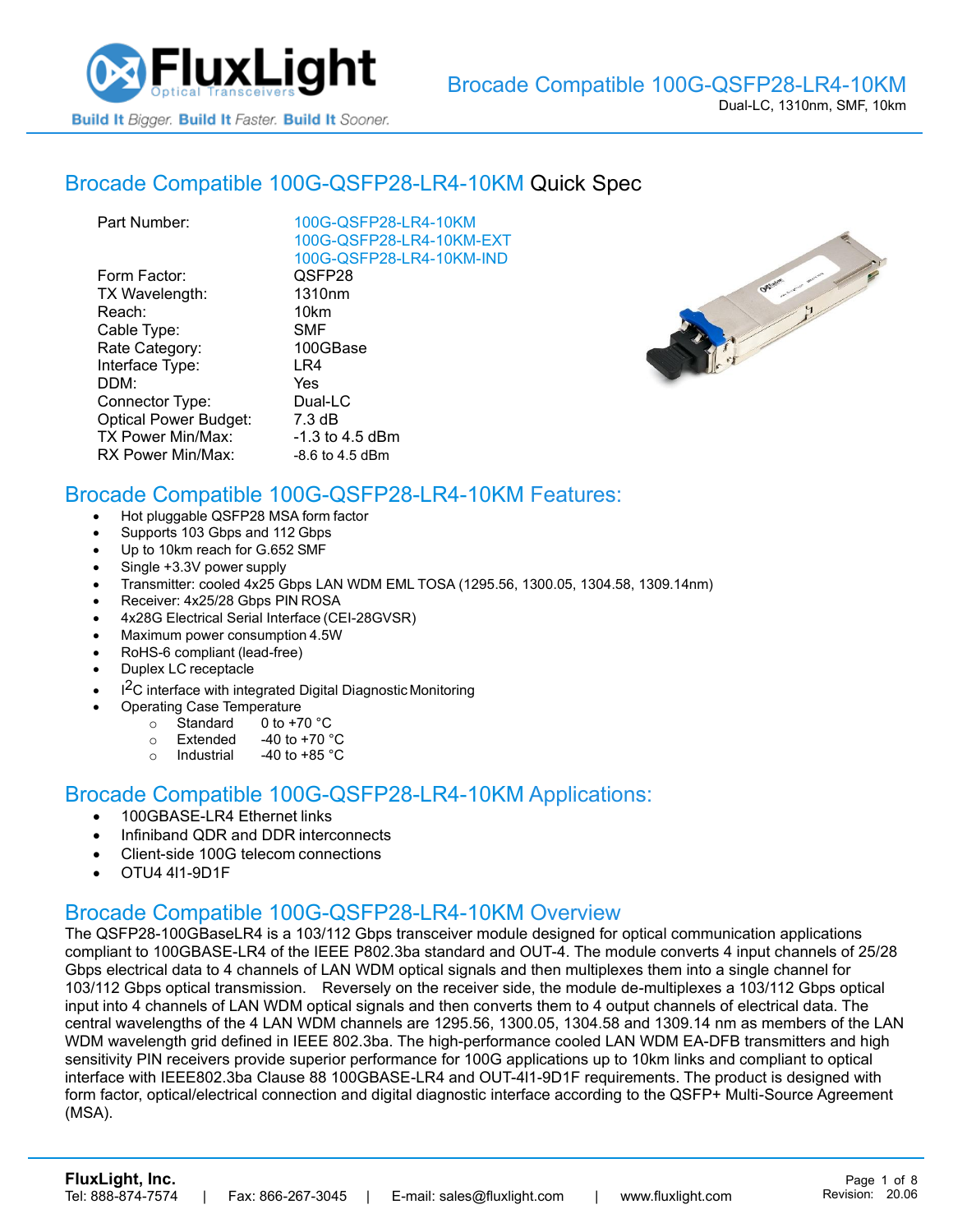

#### Brocade [Compatible 100G-QSFP28-LR4-10KM](https://www.fluxlight.com/100g-qsfp28-lr4-10km/) Quick Spec

| Part Number:                 | 100G-QSFP28-LR4-10KM     |
|------------------------------|--------------------------|
|                              | 100G-QSFP28-LR4-10KM-EXT |
|                              | 100G-QSFP28-LR4-10KM-IND |
| Form Factor:                 | QSFP28                   |
| TX Wavelength:               | 1310 <sub>nm</sub>       |
| Reach:                       | 10km                     |
| Cable Type:                  | <b>SMF</b>               |
| Rate Category:               | 100GBase                 |
| Interface Type:              | LR4                      |
| DDM:                         | Yes                      |
| Connector Type:              | Dual-LC                  |
| <b>Optical Power Budget:</b> | $7.3 \text{ dB}$         |
| TX Power Min/Max:            | $-1.3$ to 4.5 dBm        |
| RX Power Min/Max:            | $-8.6$ to 4.5 dBm        |
|                              |                          |



### Brocade Compatible [100G-QSFP28-LR4-10KM](https://www.fluxlight.com/100g-qsfp28-lr4-10km/) Features:

- Hot pluggable QSFP28 MSA form factor
- Supports 103 Gbps and 112 Gbps
- Up to 10km reach for G.652 SMF
- Single +3.3V power supply
- Transmitter: cooled 4x25 Gbps LAN WDM EML TOSA (1295.56, 1300.05, 1304.58, 1309.14nm)
- Receiver: 4x25/28 Gbps PIN ROSA
- 4x28G Electrical Serial Interface (CEI-28GVSR)
- Maximum power consumption 4.5W
- RoHS-6 compliant (lead-free)
- Duplex LC receptacle
- I<sup>2</sup>C interface with integrated Digital Diagnostic Monitoring
	- Operating Case Temperature
		- o Standard 0 to +70 °C
		- $\circ$  Extended -40 to +70  $\degree$ C
		- o Industrial  $-40$  to  $+85$  °C

#### Brocade Compatible [100G-QSFP28-LR4-10KM](https://www.fluxlight.com/100g-qsfp28-lr4-10km/) Applications:

- 100GBASE-LR4 Ethernet links
- Infiniband QDR and DDR interconnects
- Client-side 100G telecom connections
- OTU4 4l1-9D1F

#### Brocade Compatible [100G-QSFP28-LR4-10KM](https://www.fluxlight.com/100g-qsfp28-lr4-10km/) Overview

The QSFP28-100GBaseLR4 is a 103/112 Gbps transceiver module designed for optical communication applications compliant to 100GBASE-LR4 of the IEEE P802.3ba standard and OUT-4. The module converts 4 input channels of 25/28 Gbps electrical data to 4 channels of LAN WDM optical signals and then multiplexes them into a single channel for 103/112 Gbps optical transmission. Reversely on the receiver side, the module de-multiplexes a 103/112 Gbps optical input into 4 channels of LAN WDM optical signals and then converts them to 4 output channels of electrical data. The central wavelengths of the 4 LAN WDM channels are 1295.56, 1300.05, 1304.58 and 1309.14 nm as members of the LAN WDM wavelength grid defined in IEEE 802.3ba. The high-performance cooled LAN WDM EA-DFB transmitters and high sensitivity PIN receivers provide superior performance for 100G applications up to 10km links and compliant to optical interface with IEEE802.3ba Clause 88 100GBASE-LR4 and OUT-4l1-9D1F requirements. The product is designed with form factor, optical/electrical connection and digital diagnostic interface according to the QSFP+ Multi-Source Agreement (MSA).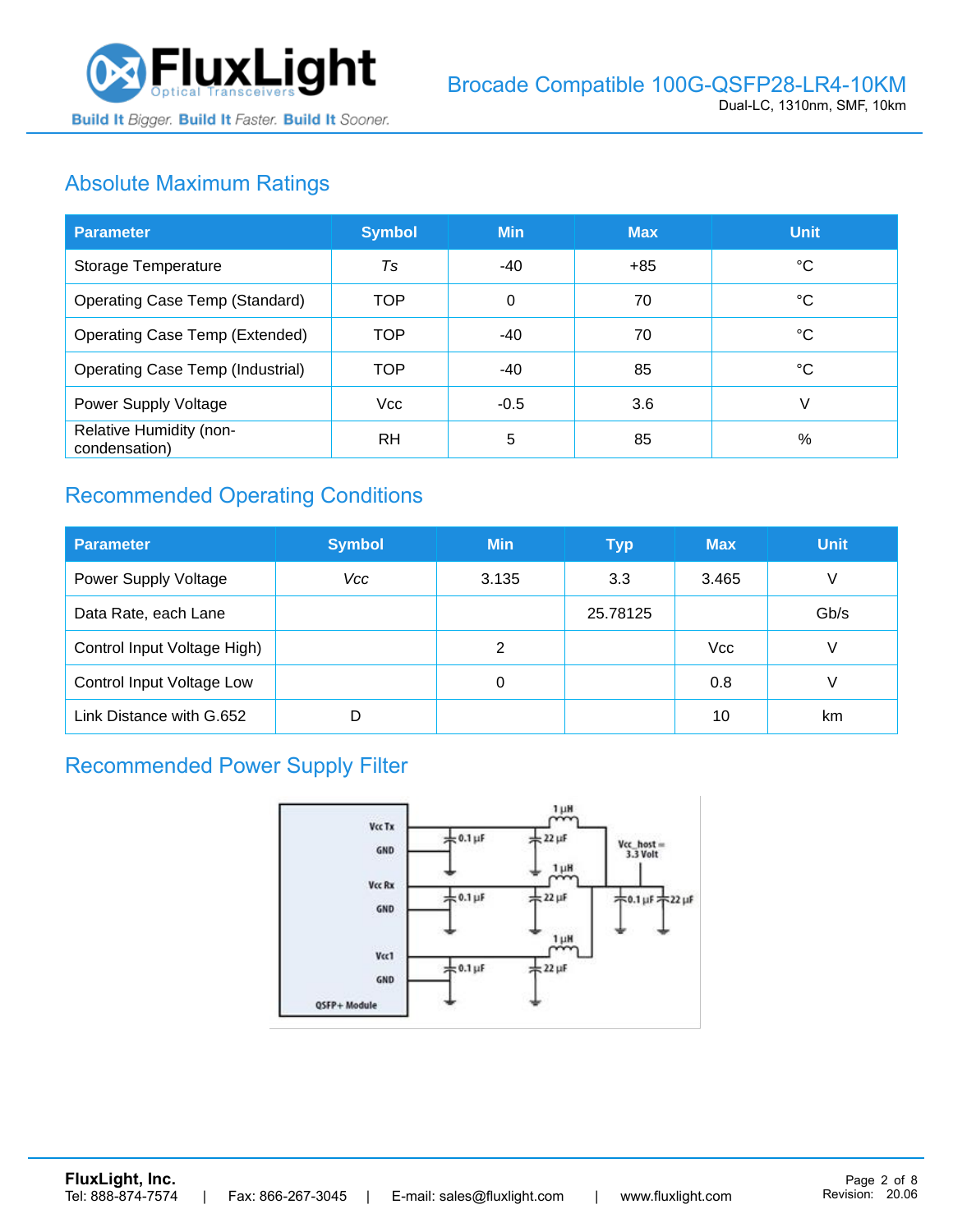

# Absolute Maximum Ratings

| <b>Parameter</b>                         | <b>Symbol</b>  | <b>Min</b> | <b>Max</b> | <b>Unit</b> |
|------------------------------------------|----------------|------------|------------|-------------|
| Storage Temperature                      | T <sub>S</sub> | -40        | $+85$      | °C          |
| <b>Operating Case Temp (Standard)</b>    | <b>TOP</b>     | 0          | 70         | °C          |
| <b>Operating Case Temp (Extended)</b>    | <b>TOP</b>     | $-40$      | 70         | °C          |
| <b>Operating Case Temp (Industrial)</b>  | <b>TOP</b>     | $-40$      | 85         | °C          |
| Power Supply Voltage                     | <b>Vcc</b>     | $-0.5$     | 3.6        | V           |
| Relative Humidity (non-<br>condensation) | <b>RH</b>      | 5          | 85         | %           |

## Recommended Operating Conditions

| <b>Parameter</b>            | <b>Symbol</b> | <b>Min</b> | <b>Typ</b> | <b>Max</b> | <b>Unit</b> |
|-----------------------------|---------------|------------|------------|------------|-------------|
| <b>Power Supply Voltage</b> | Vcc           | 3.135      | 3.3        | 3.465      | V           |
| Data Rate, each Lane        |               |            | 25.78125   |            | Gb/s        |
| Control Input Voltage High) |               | 2          |            | <b>Vcc</b> | V           |
| Control Input Voltage Low   |               | 0          |            | 0.8        |             |
| Link Distance with G.652    | D             |            |            | 10         | km          |

### Recommended Power Supply Filter

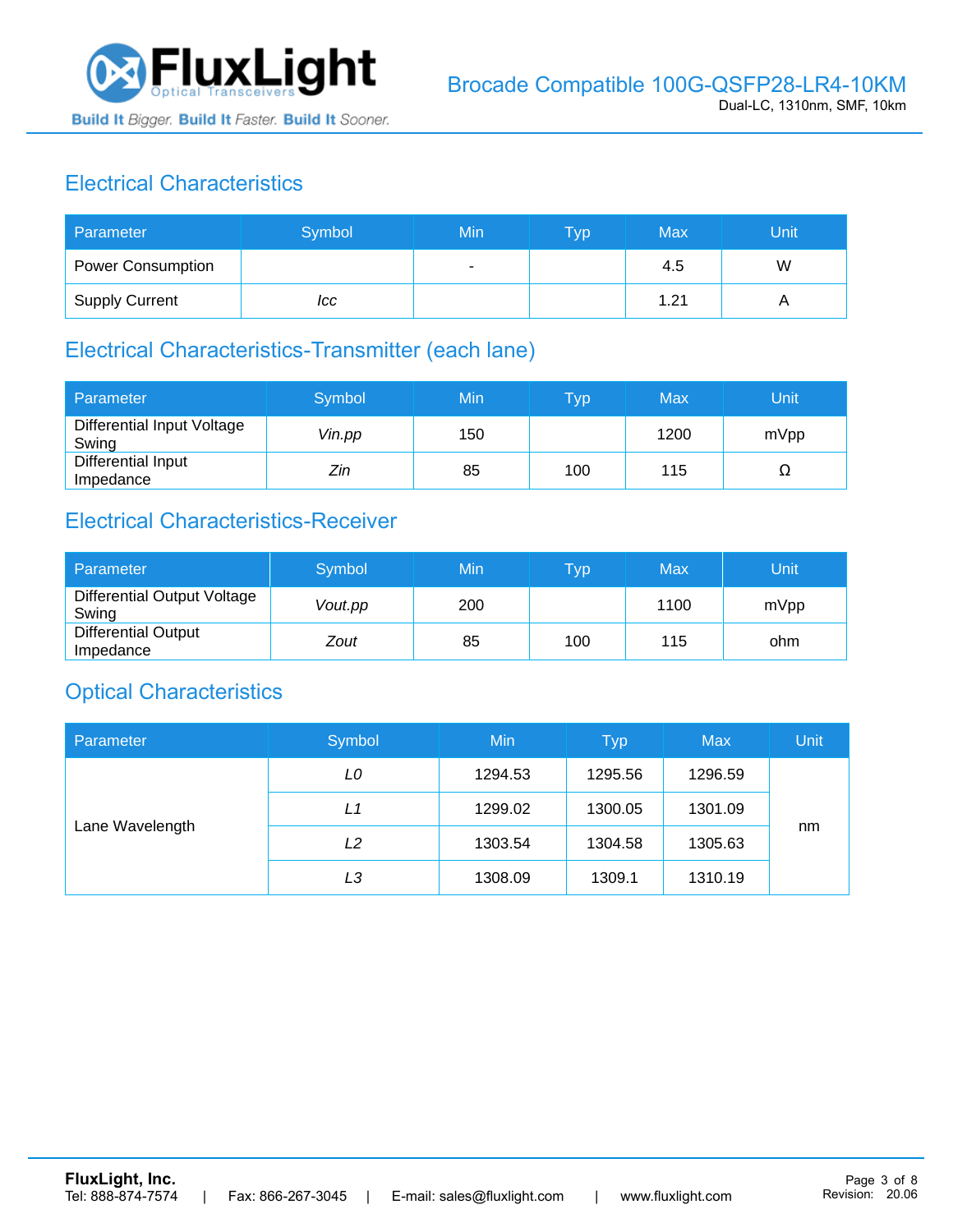

## Electrical Characteristics

| Parameter                | Symbol | Min | <b>Typ</b> | Max  | Unit |
|--------------------------|--------|-----|------------|------|------|
| <b>Power Consumption</b> |        | ۰   |            | 4.5  | W    |
| <b>Supply Current</b>    | ICC    |     |            | 1.21 |      |

### Electrical Characteristics-Transmitter (each lane)

| Parameter                           | Symbol | Min | $\overline{\mathsf{T}}\mathsf{y}\mathsf{p}$ | Max  | Unit |
|-------------------------------------|--------|-----|---------------------------------------------|------|------|
| Differential Input Voltage<br>Swing | Vin.pp | 150 |                                             | 1200 | mVpp |
| Differential Input<br>Impedance     | Zin    | 85  | 100                                         | 115  | Ω    |

## Electrical Characteristics-Receiver

| Parameter                               | Symbol  | Min | Typ | Max  | Unit |
|-----------------------------------------|---------|-----|-----|------|------|
| Differential Output Voltage<br>Swing    | Vout.pp | 200 |     | 1100 | mVpp |
| <b>Differential Output</b><br>Impedance | Zout    | 85  | 100 | 115  | ohm  |

### Optical Characteristics

| Parameter       | Symbol | Min     | <b>Typ</b> | <b>Max</b> | Unit |
|-----------------|--------|---------|------------|------------|------|
| Lane Wavelength | LO     | 1294.53 | 1295.56    | 1296.59    |      |
|                 | L1     | 1299.02 | 1300.05    | 1301.09    |      |
|                 | L2     | 1303.54 | 1304.58    | 1305.63    | nm   |
|                 | LЗ     | 1308.09 | 1309.1     | 1310.19    |      |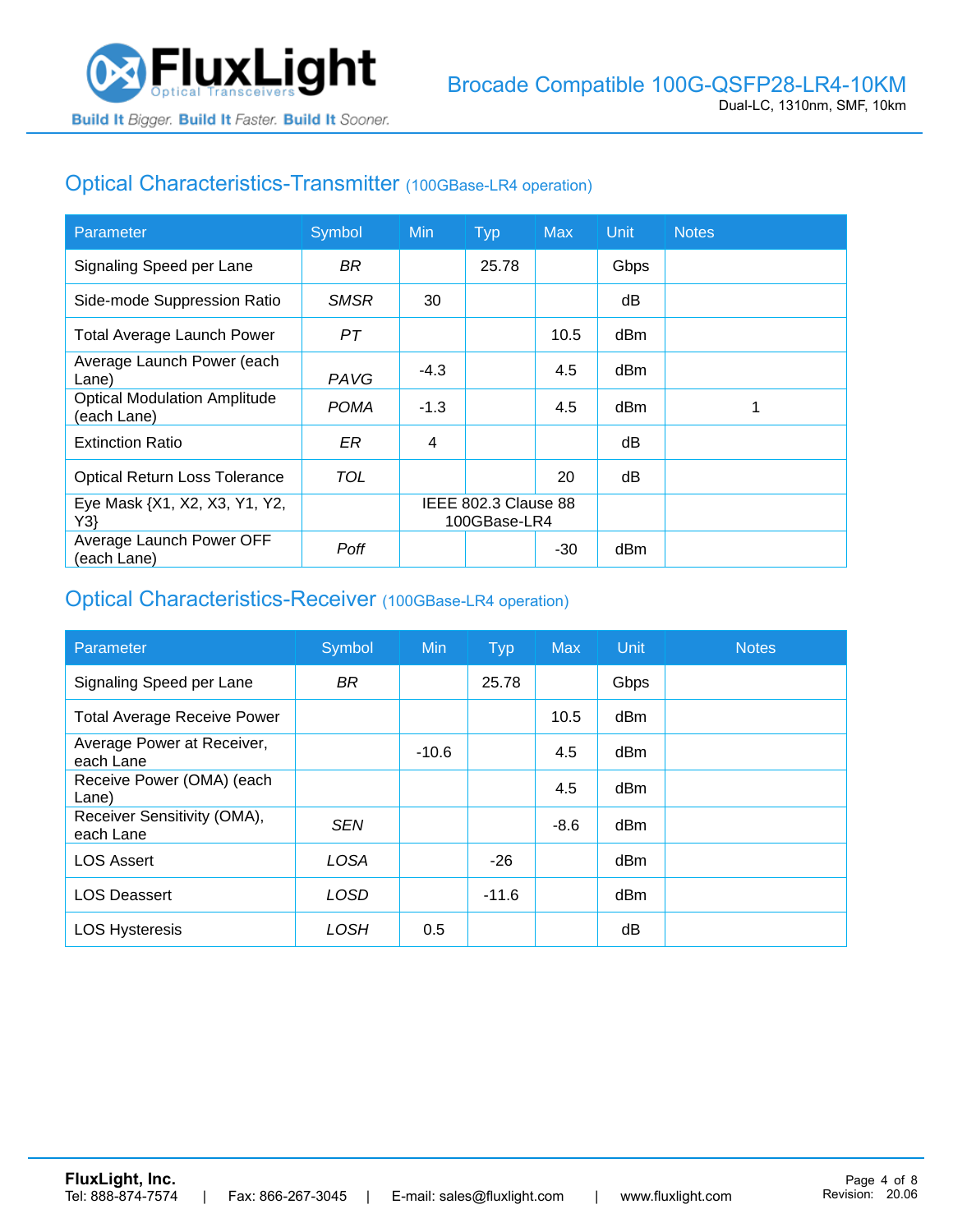

### Optical Characteristics-Transmitter (100GBase-LR4 operation)

| Parameter                                          | Symbol      | <b>Min</b>                           | <b>Typ</b> | <b>Max</b> | <b>Unit</b> | <b>Notes</b> |
|----------------------------------------------------|-------------|--------------------------------------|------------|------------|-------------|--------------|
| Signaling Speed per Lane                           | BR.         |                                      | 25.78      |            | Gbps        |              |
| Side-mode Suppression Ratio                        | <b>SMSR</b> | 30                                   |            |            | dB          |              |
| <b>Total Average Launch Power</b>                  | PT          |                                      |            | 10.5       | dBm         |              |
| Average Launch Power (each<br>Lane)                | PAVG        | $-4.3$                               |            | 4.5        | dBm         |              |
| <b>Optical Modulation Amplitude</b><br>(each Lane) | <b>POMA</b> | $-1.3$                               |            | 4.5        | dBm         |              |
| <b>Extinction Ratio</b>                            | ER          | 4                                    |            |            | dВ          |              |
| <b>Optical Return Loss Tolerance</b>               | TOL         |                                      |            | 20         | dB          |              |
| Eye Mask {X1, X2, X3, Y1, Y2,<br>Y3                |             | IEEE 802.3 Clause 88<br>100GBase-LR4 |            |            |             |              |
| Average Launch Power OFF<br>(each Lane)            | Poff        |                                      |            | $-30$      | dBm         |              |

#### Optical Characteristics-Receiver (100GBase-LR4 operation)

| Parameter                                | Symbol      | <b>Min</b> | <b>Typ</b> | <b>Max</b> | Unit | <b>Notes</b> |
|------------------------------------------|-------------|------------|------------|------------|------|--------------|
| Signaling Speed per Lane                 | <b>BR</b>   |            | 25.78      |            | Gbps |              |
| <b>Total Average Receive Power</b>       |             |            |            | 10.5       | dBm  |              |
| Average Power at Receiver,<br>each Lane  |             | $-10.6$    |            | 4.5        | dBm  |              |
| Receive Power (OMA) (each<br>Lane)       |             |            |            | 4.5        | dBm  |              |
| Receiver Sensitivity (OMA),<br>each Lane | <b>SEN</b>  |            |            | $-8.6$     | dBm  |              |
| <b>LOS Assert</b>                        | <b>LOSA</b> |            | $-26$      |            | dBm  |              |
| <b>LOS Deassert</b>                      | LOSD        |            | $-11.6$    |            | dBm  |              |
| <b>LOS Hysteresis</b>                    | LOSH        | 0.5        |            |            | dΒ   |              |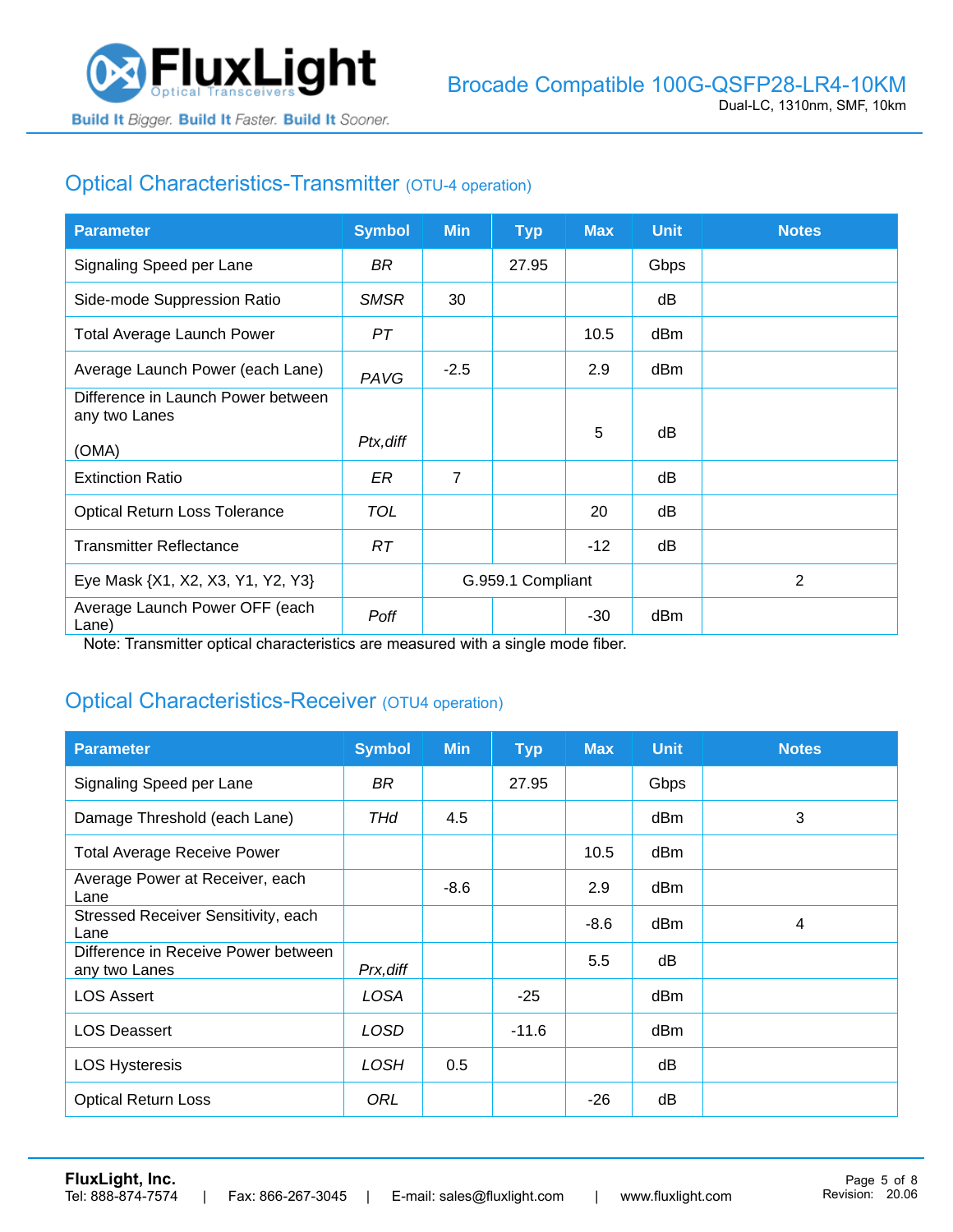

## Optical Characteristics-Transmitter (OTU-4 operation)

| <b>Parameter</b>                                    | <b>Symbol</b> | <b>Min</b>        | <b>Typ</b> | <b>Max</b> | <b>Unit</b> | <b>Notes</b> |
|-----------------------------------------------------|---------------|-------------------|------------|------------|-------------|--------------|
| Signaling Speed per Lane                            | BR.           |                   | 27.95      |            | Gbps        |              |
| Side-mode Suppression Ratio                         | <b>SMSR</b>   | 30                |            |            | dB          |              |
| <b>Total Average Launch Power</b>                   | PT            |                   |            | 10.5       | dBm         |              |
| Average Launch Power (each Lane)                    | PAVG          | $-2.5$            |            | 2.9        | dBm         |              |
| Difference in Launch Power between<br>any two Lanes |               |                   |            |            |             |              |
| (OMA)                                               | Ptx, diff     |                   |            | 5          | dB          |              |
| <b>Extinction Ratio</b>                             | ER            | $\overline{7}$    |            |            | dB          |              |
| <b>Optical Return Loss Tolerance</b>                | <b>TOL</b>    |                   |            | 20         | dB          |              |
| <b>Transmitter Reflectance</b>                      | RT.           |                   |            | $-12$      | dB          |              |
| Eye Mask {X1, X2, X3, Y1, Y2, Y3}                   |               | G.959.1 Compliant |            |            |             | 2            |
| Average Launch Power OFF (each<br>Lane)             | Poff          |                   |            | $-30$      | dBm         |              |

Note: Transmitter optical characteristics are measured with a single mode fiber.

### Optical Characteristics-Receiver (OTU4 operation)

| <b>Parameter</b>                                     | <b>Symbol</b> | <b>Min</b> | <b>Typ</b> | <b>Max</b> | <b>Unit</b> | <b>Notes</b> |
|------------------------------------------------------|---------------|------------|------------|------------|-------------|--------------|
| Signaling Speed per Lane                             | BR            |            | 27.95      |            | Gbps        |              |
| Damage Threshold (each Lane)                         | THd           | 4.5        |            |            | dBm         | 3            |
| <b>Total Average Receive Power</b>                   |               |            |            | 10.5       | dBm         |              |
| Average Power at Receiver, each<br>Lane              |               | $-8.6$     |            | 2.9        | dBm         |              |
| Stressed Receiver Sensitivity, each<br>Lane          |               |            |            | $-8.6$     | dBm         | 4            |
| Difference in Receive Power between<br>any two Lanes | Prx, diff     |            |            | 5.5        | dB          |              |
| <b>LOS Assert</b>                                    | LOSA          |            | $-25$      |            | dBm         |              |
| <b>LOS Deassert</b>                                  | LOSD          |            | $-11.6$    |            | dBm         |              |
| <b>LOS Hysteresis</b>                                | <b>LOSH</b>   | 0.5        |            |            | dB          |              |
| <b>Optical Return Loss</b>                           | ORL           |            |            | $-26$      | dB          |              |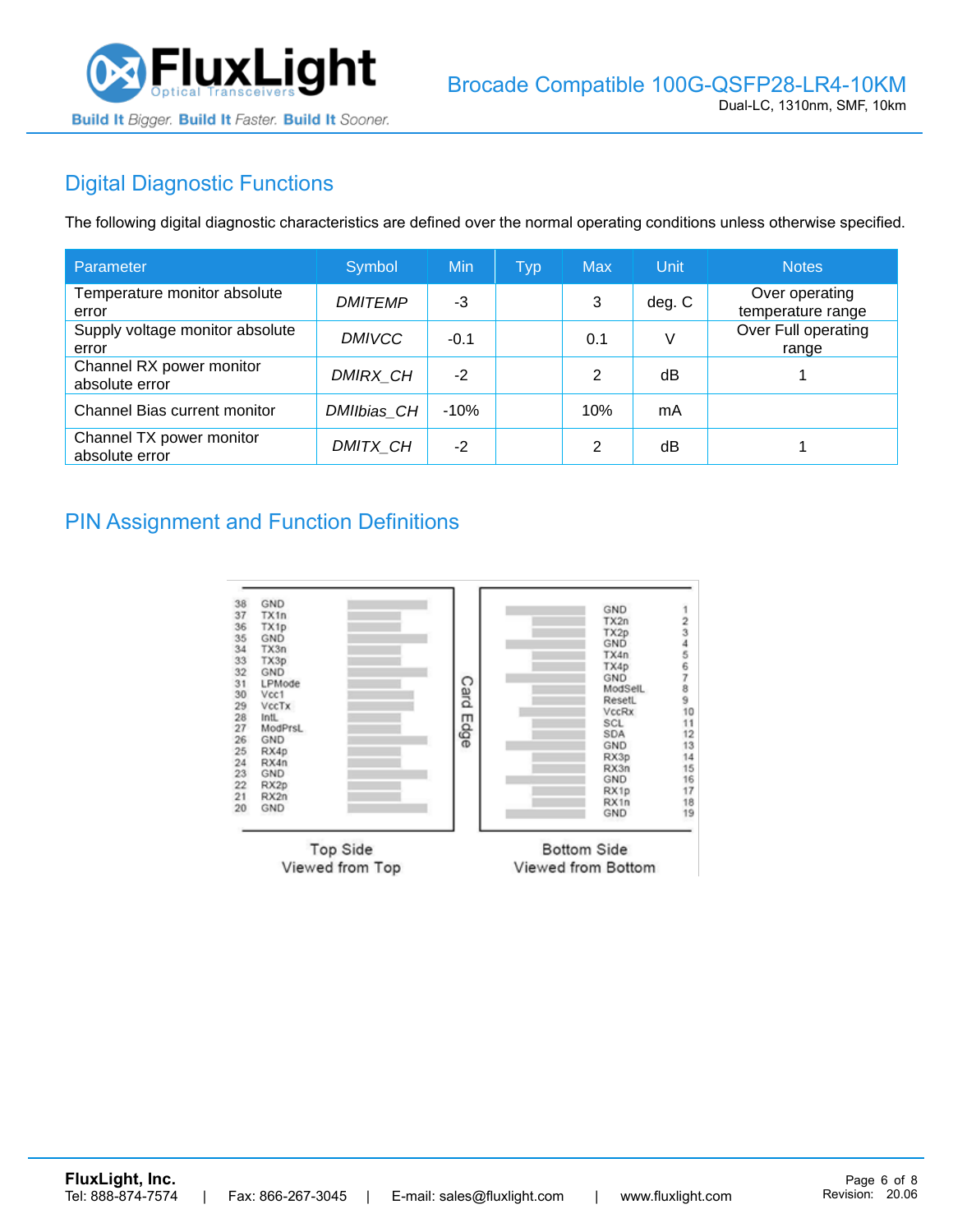

# Digital Diagnostic Functions

The following digital diagnostic characteristics are defined over the normal operating conditions unless otherwise specified.

| Parameter                                  | Symbol         | Min    | <b>Typ</b> | <b>Max</b>     | Unit   | <b>Notes</b>                        |
|--------------------------------------------|----------------|--------|------------|----------------|--------|-------------------------------------|
| Temperature monitor absolute<br>error      | <b>DMITEMP</b> | -3     |            | 3              | deg. C | Over operating<br>temperature range |
| Supply voltage monitor absolute<br>error   | <b>DMIVCC</b>  | $-0.1$ |            | 0.1            | V      | Over Full operating<br>range        |
| Channel RX power monitor<br>absolute error | DMIRX_CH       | $-2$   |            | 2              | dB     |                                     |
| Channel Bias current monitor               | DMIIbias_CH    | $-10%$ |            | 10%            | mA     |                                     |
| Channel TX power monitor<br>absolute error | DMITX_CH       | $-2$   |            | $\mathfrak{p}$ | dB     |                                     |

#### PIN Assignment and Function Definitions

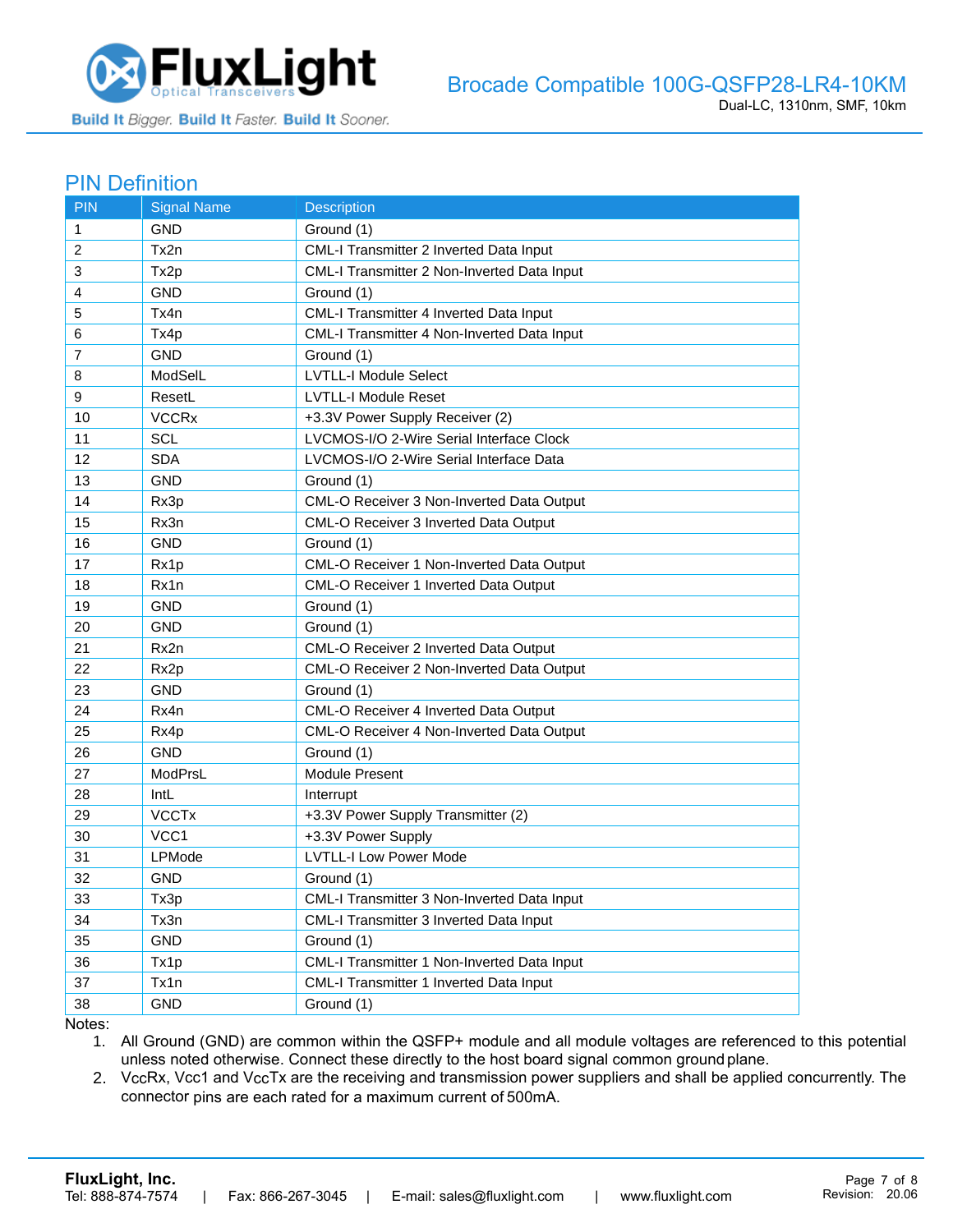

#### PIN Definition

| <b>PIN</b>   | <b>Signal Name</b> | <b>Description</b>                          |
|--------------|--------------------|---------------------------------------------|
| $\mathbf{1}$ | GND                | Ground (1)                                  |
| 2            | Tx2n               | CML-I Transmitter 2 Inverted Data Input     |
| 3            | Tx2p               | CML-I Transmitter 2 Non-Inverted Data Input |
| 4            | <b>GND</b>         | Ground (1)                                  |
| 5            | Tx4n               | CML-I Transmitter 4 Inverted Data Input     |
| 6            | Tx4p               | CML-I Transmitter 4 Non-Inverted Data Input |
| 7            | GND                | Ground (1)                                  |
| 8            | ModSelL            | <b>LVTLL-I Module Select</b>                |
| 9            | ResetL             | <b>LVTLL-I Module Reset</b>                 |
| 10           | <b>VCCRx</b>       | +3.3V Power Supply Receiver (2)             |
| 11           | <b>SCL</b>         | LVCMOS-I/O 2-Wire Serial Interface Clock    |
| 12           | <b>SDA</b>         | LVCMOS-I/O 2-Wire Serial Interface Data     |
| 13           | <b>GND</b>         | Ground (1)                                  |
| 14           | Rx3p               | CML-O Receiver 3 Non-Inverted Data Output   |
| 15           | Rx3n               | CML-O Receiver 3 Inverted Data Output       |
| 16           | <b>GND</b>         | Ground (1)                                  |
| 17           | Rx1p               | CML-O Receiver 1 Non-Inverted Data Output   |
| 18           | Rx1n               | CML-O Receiver 1 Inverted Data Output       |
| 19           | <b>GND</b>         | Ground (1)                                  |
| 20           | <b>GND</b>         | Ground (1)                                  |
| 21           | Rx2n               | CML-O Receiver 2 Inverted Data Output       |
| 22           | Rx2p               | CML-O Receiver 2 Non-Inverted Data Output   |
| 23           | <b>GND</b>         | Ground (1)                                  |
| 24           | Rx4n               | CML-O Receiver 4 Inverted Data Output       |
| 25           | Rx4p               | CML-O Receiver 4 Non-Inverted Data Output   |
| 26           | <b>GND</b>         | Ground (1)                                  |
| 27           | ModPrsL            | Module Present                              |
| 28           | <b>IntL</b>        | Interrupt                                   |
| 29           | <b>VCCTx</b>       | +3.3V Power Supply Transmitter (2)          |
| 30           | VCC1               | +3.3V Power Supply                          |
| 31           | LPMode             | <b>LVTLL-I Low Power Mode</b>               |
| 32           | <b>GND</b>         | Ground (1)                                  |
| 33           | Tx3p               | CML-I Transmitter 3 Non-Inverted Data Input |
| 34           | Tx3n               | CML-I Transmitter 3 Inverted Data Input     |
| 35           | <b>GND</b>         | Ground (1)                                  |
| 36           | Tx1p               | CML-I Transmitter 1 Non-Inverted Data Input |
| 37           | Tx1n               | CML-I Transmitter 1 Inverted Data Input     |
| 38           | <b>GND</b>         | Ground (1)                                  |

Notes:

1. All Ground (GND) are common within the QSFP+ module and all module voltages are referenced to this potential unless noted otherwise. Connect these directly to the host board signal common ground plane.

2. VccRx, Vcc1 and VccTx are the receiving and transmission power suppliers and shall be applied concurrently. The connector pins are each rated for a maximum current of 500mA.